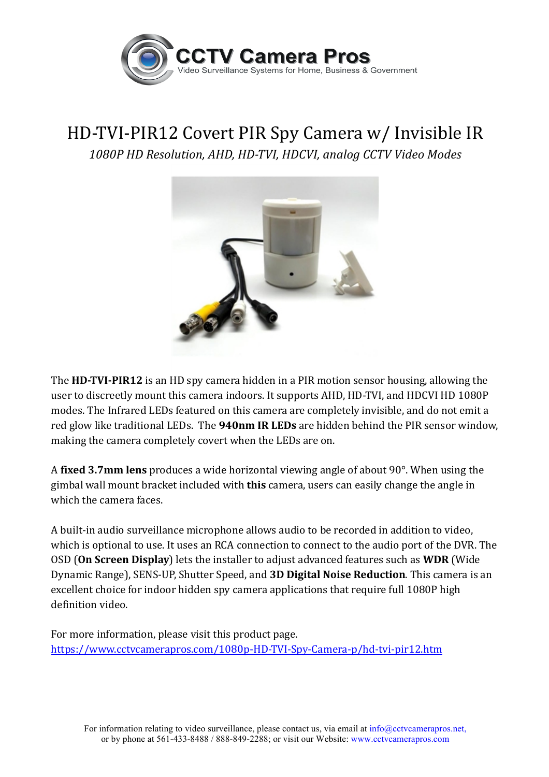

## HD-TVI-PIR12 Covert PIR Spy Camera w/ Invisible IR

*1080P HD Resolution, AHD, HD-TVI, HDCVI, analog CCTV Video Modes*



**The HD-TVI-PIR12** is an HD spy camera hidden in a PIR motion sensor housing, allowing the user to discreetly mount this camera indoors. It supports AHD, HD-TVI, and HDCVI HD 1080P modes. The Infrared LEDs featured on this camera are completely invisible, and do not emit a red glow like traditional LEDs. The **940nm IR LEDs** are hidden behind the PIR sensor window, making the camera completely covert when the LEDs are on.

A **fixed 3.7mm lens** produces a wide horizontal viewing angle of about 90°. When using the gimbal wall mount bracket included with **this** camera, users can easily change the angle in which the camera faces.

A built-in audio surveillance microphone allows audio to be recorded in addition to video, which is optional to use. It uses an RCA connection to connect to the audio port of the DVR. The OSD (On Screen Display) lets the installer to adjust advanced features such as WDR (Wide Dynamic Range), SENS-UP, Shutter Speed, and **3D Digital Noise Reduction**. This camera is an excellent choice for indoor hidden spy camera applications that require full 1080P high definition video. 

For more information, please visit this product page. https://www.cctvcamerapros.com/1080p-HD-TVI-Spy-Camera-p/hd-tvi-pir12.htm